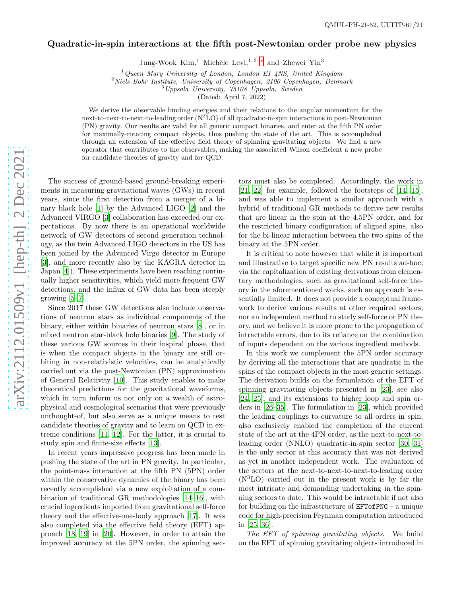## Quadratic-in-spin interactions at the fifth post-Newtonian order probe new physics

Jung-Wook Kim,<sup>1</sup> Michèle Levi,<sup>1, 2, \*</sup> and Zhewei Yin<sup>3</sup>

<sup>1</sup>*Queen Mary University of London, London E1 4NS, United Kingdom*

<sup>2</sup>*Niels Bohr Institute, University of Copenhagen, 2100 Copenhagen, Denmark* <sup>3</sup>*Uppsala University, 75108 Uppsala, Sweden*

(Dated: April 7, 2022)

We derive the observable binding energies and their relations to the angular momentum for the next-to-next-to-next-to-leading order  $(N^3LO)$  of all quadratic-in-spin interactions in post-Newtonian (PN) gravity. Our results are valid for all generic compact binaries, and enter at the fifth PN order for maximally-rotating compact objects, thus pushing the state of the art. This is accomplished through an extension of the effective field theory of spinning gravitating objects. We find a new operator that contributes to the observables, making the associated Wilson coefficient a new probe for candidate theories of gravity and for QCD.

The success of ground-based ground-breaking experiments in measuring gravitational waves (GWs) in recent years, since the first detection from a merger of a binary black hole [\[1](#page-4-1)] by the Advanced LIGO [\[2](#page-4-2)] and the Advanced VIRGO [\[3](#page-4-3)] collaboration has exceeded our expectations. By now there is an operational worldwide network of GW detectors of second generation technology, as the twin Advanced LIGO detectors in the US has been joined by the Advanced Virgo detector in Europe [\[3\]](#page-4-3), and more recently also by the KAGRA detector in Japan [\[4](#page-4-4)]). These experiments have been reaching continually higher sensitivities, which yield more frequent GW detections, and the influx of GW data has been steeply growing  $[5-7]$ .

Since 2017 these GW detections also include observations of neutron stars as individual components of the binary, either within binaries of neutron stars [\[8](#page-4-7)], or in mixed neutron star-black hole binaries [\[9\]](#page-4-8). The study of these various GW sources in their inspiral phase, that is when the compact objects in the binary are still orbiting in non-relativistic velocities, can be analytically carried out via the post-Newtonian (PN) approximation of General Relativity [\[10\]](#page-4-9). This study enables to make theoretical predictions for the gravitational waveforms, which in turn inform us not only on a wealth of astrophysical and cosmological scenarios that were previously unthought-of, but also serve as a unique means to test candidate theories of gravity and to learn on QCD in extreme conditions [\[11,](#page-4-10) [12\]](#page-4-11). For the latter, it is crucial to study spin and finite-size effects [\[13](#page-4-12)].

In recent years impressive progress has been made in pushing the state of the art in PN gravity. In particular, the point-mass interaction at the fifth PN (5PN) order within the conservative dynamics of the binary has been recently accomplished via a new exploitation of a combination of traditional GR methodologies [\[14](#page-4-13)[–16\]](#page-4-14), with crucial ingredients imported from gravitational self-force theory and the effective-one-body approach [\[17](#page-4-15)]. It was also completed via the effective field theory (EFT) approach [\[18,](#page-4-16) [19\]](#page-4-17) in [\[20](#page-4-18)]. However, in order to attain the improved accuracy at the 5PN order, the spinning sec-

tors must also be completed. Accordingly, the work in [\[21,](#page-5-0) [22\]](#page-5-1) for example, followed the footsteps of [\[14,](#page-4-13) [15\]](#page-4-19), and was able to implement a similar approach with a hybrid of traditional GR methods to derive new results that are linear in the spin at the 4.5PN order, and for the restricted binary configuration of aligned spins, also for the bi-linear interaction between the two spins of the binary at the 5PN order.

It is critical to note however that while it is important and illustrative to target specific new PN results ad-hoc, via the capitalization of existing derivations from elementary methodologies, such as gravitational self-force theory in the aforementioned works, such an approach is essentially limited. It does not provide a conceptual framework to derive various results at other required sectors, nor an independent method to study self-force or PN theory, and we believe it is more prone to the propagation of intractable errors, due to its reliance on the combination of inputs dependent on the various ingredient methods.

In this work we complement the 5PN order accuracy by deriving all the interactions that are quadratic in the spins of the compact objects in the most generic settings. The derivation builds on the formulation of the EFT of spinning gravitating objects presented in [\[23\]](#page-5-2), see also [\[24,](#page-5-3) [25\]](#page-5-4), and its extensions to higher loop and spin orders in [\[26](#page-5-5)[–35\]](#page-5-6). The formulation in [\[23\]](#page-5-2), which provided the leading couplings to curvature to all orders in spin, also exclusively enabled the completion of the current state of the art at the 4PN order, as the next-to-next-toleading order (NNLO) quadratic-in-spin sector [\[30](#page-5-7), [31](#page-5-8)] is the only sector at this accuracy that was not derived as yet in another independent work. The evaluation of the sectors at the next-to-next-to-next-to-leading order (N <sup>3</sup>LO) carried out in the present work is by far the most intricate and demanding undertaking in the spinning sectors to date. This would be intractable if not also for building on the infrastructure of EFTofPNG – a unique code for high-precision Feynman computation introduced in [\[25,](#page-5-4) [36](#page-5-9)].

The EFT of spinning gravitating objects. We build on the EFT of spinning gravitating objects introduced in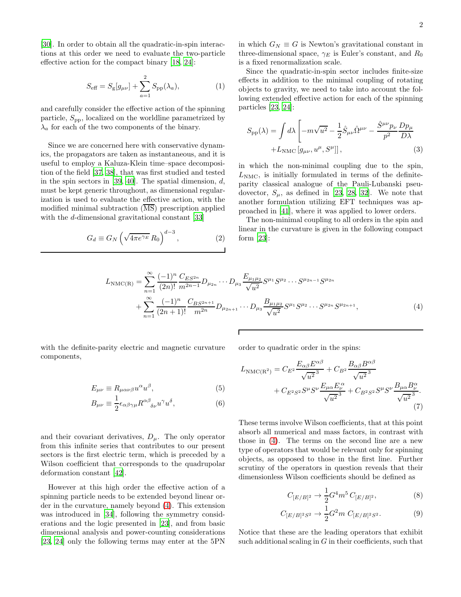[\[30\]](#page-5-7). In order to obtain all the quadratic-in-spin interactions at this order we need to evaluate the two-particle effective action for the compact binary [\[18,](#page-4-16) [24\]](#page-5-3):

$$
S_{\text{eff}} = S_{\text{g}}[g_{\mu\nu}] + \sum_{a=1}^{2} S_{\text{pp}}(\lambda_a), \tag{1}
$$

and carefully consider the effective action of the spinning particle,  $S_{\text{pp}}$ , localized on the worldline parametrized by  $\lambda_a$  for each of the two components of the binary.

Since we are concerned here with conservative dynamics, the propagators are taken as instantaneous, and it is useful to employ a Kaluza-Klein time–space decomposition of the field [\[37,](#page-5-10) [38](#page-5-11)], that was first studied and tested in the spin sectors in [\[39,](#page-5-12) [40\]](#page-5-13). The spatial dimension,  $d$ , must be kept generic throughout, as dimensional regularization is used to evaluate the effective action, with the modified minimal subtraction  $(\overline{\text{MS}})$  prescription applied with the d-dimensional gravitational constant [\[33\]](#page-5-14)

$$
G_d \equiv G_N \left( \sqrt{4\pi e^{\gamma_E}} R_0 \right)^{d-3},\tag{2}
$$

in which  $G_N \equiv G$  is Newton's gravitational constant in three-dimensional space,  $\gamma_E$  is Euler's constant, and  $R_0$ is a fixed renormalization scale.

Since the quadratic-in-spin sector includes finite-size effects in addition to the minimal coupling of rotating objects to gravity, we need to take into account the following extended effective action for each of the spinning particles [\[23,](#page-5-2) [24\]](#page-5-3):

$$
S_{\rm pp}(\lambda) = \int d\lambda \left[ -m\sqrt{u^2} - \frac{1}{2} \hat{S}_{\mu\nu} \hat{\Omega}^{\mu\nu} - \frac{\hat{S}^{\mu\nu} p_{\nu}}{p^2} \frac{D p_{\mu}}{D\lambda} + L_{\rm NMC} \left[ g_{\mu\nu}, u^{\mu}, S^{\mu} \right] \right],
$$
\n(3)

in which the non-minimal coupling due to the spin,  $L<sub>NMC</sub>$ , is initially formulated in terms of the definiteparity classical analogue of the Pauli-Lubanski pseudovector,  $S_{\mu}$ , as defined in [\[23,](#page-5-2) [28,](#page-5-15) [32\]](#page-5-16). We note that another formulation utilizing EFT techniques was approached in [\[41\]](#page-5-17), where it was applied to lower orders.

The non-minimal coupling to all orders in the spin and linear in the curvature is given in the following compact form [\[23](#page-5-2)]:

$$
L_{\rm NMC(R)} = \sum_{n=1}^{\infty} \frac{(-1)^n}{(2n)!} \frac{C_{ES^{2n}}}{m^{2n-1}} D_{\mu_{2n}} \cdots D_{\mu_3} \frac{E_{\mu_1 \mu_2}}{\sqrt{u^2}} S^{\mu_1} S^{\mu_2} \cdots S^{\mu_{2n-1}} S^{\mu_{2n}} + \sum_{n=1}^{\infty} \frac{(-1)^n}{(2n+1)!} \frac{C_{BS^{2n+1}}}{m^{2n}} D_{\mu_{2n+1}} \cdots D_{\mu_3} \frac{B_{\mu_1 \mu_2}}{\sqrt{u^2}} S^{\mu_1} S^{\mu_2} \cdots S^{\mu_{2n}} S^{\mu_{2n+1}},
$$
(4)

with the definite-parity electric and magnetic curvature components,

$$
E_{\mu\nu} \equiv R_{\mu\alpha\nu\beta}u^{\alpha}u^{\beta},\tag{5}
$$

$$
B_{\mu\nu} \equiv \frac{1}{2} \epsilon_{\alpha\beta\gamma\mu} R^{\alpha\beta}{}_{\delta\nu} u^{\gamma} u^{\delta}, \tag{6}
$$

and their covariant derivatives,  $D_{\mu}$ . The only operator from this infinite series that contributes to our present sectors is the first electric term, which is preceded by a Wilson coefficient that corresponds to the quadrupolar deformation constant [\[42\]](#page-5-18).

However at this high order the effective action of a spinning particle needs to be extended beyond linear order in the curvature, namely beyond [\(4\)](#page-1-0). This extension was introduced in [\[34](#page-5-19)], following the symmetry considerations and the logic presented in [\[23\]](#page-5-2), and from basic dimensional analysis and power-counting considerations [\[23,](#page-5-2) [24\]](#page-5-3) only the following terms may enter at the 5PN

<span id="page-1-0"></span>order to quadratic order in the spins:

$$
L_{\rm NMC(R^2)} = C_{E^2} \frac{E_{\alpha\beta} E^{\alpha\beta}}{\sqrt{u^2}^3} + C_{B^2} \frac{B_{\alpha\beta} B^{\alpha\beta}}{\sqrt{u^2}^3} + C_{E^2 S^2} S^{\mu} S^{\nu} \frac{E_{\mu\alpha} E^{\alpha}_{\nu}}{\sqrt{u^2}^3} + C_{B^2 S^2} S^{\mu} S^{\nu} \frac{B_{\mu\alpha} B^{\alpha}_{\nu}}{\sqrt{u^2}^3}.
$$
\n(7)

These terms involve Wilson coefficients, that at this point absorb all numerical and mass factors, in contrast with those in [\(4\)](#page-1-0). The terms on the second line are a new type of operators that would be relevant only for spinning objects, as opposed to those in the first line. Further scrutiny of the operators in question reveals that their dimensionless Wilson coefficients should be defined as

<span id="page-1-2"></span><span id="page-1-1"></span>
$$
C_{[E/B]^2} \to \frac{1}{2} G^4 m^5 C_{[E/B]^2},\tag{8}
$$

$$
C_{[E/B]^2S^2} \to \frac{1}{2} G^2 m \ C_{[E/B]^2S^2}.\tag{9}
$$

Notice that these are the leading operators that exhibit such additional scaling in  $G$  in their coefficients, such that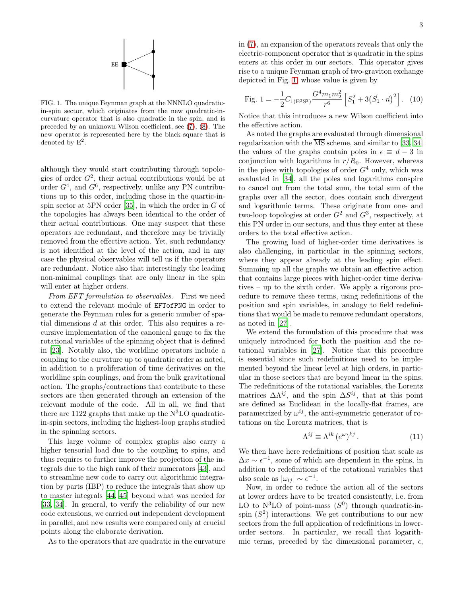<span id="page-2-0"></span>FIG. 1. The unique Feynman graph at the NNNLO quadraticin-spin sector, which originates from the new quadratic-incurvature operator that is also quadratic in the spin, and is preceded by an unknown Wilson coefficient, see [\(7\)](#page-1-1), [\(8\)](#page-1-2). The new operator is represented here by the black square that is denoted by  $E^2$ .

although they would start contributing through topologies of order  $G^2$ , their actual contributions would be at order  $G<sup>4</sup>$ , and  $G<sup>6</sup>$ , respectively, unlike any PN contributions up to this order, including those in the quartic-inspin sector at 5PN order  $[35]$ , in which the order in G of the topologies has always been identical to the order of their actual contributions. One may suspect that these operators are redundant, and therefore may be trivially removed from the effective action. Yet, such redundancy is not identified at the level of the action, and in any case the physical observables will tell us if the operators are redundant. Notice also that interestingly the leading non-minimal couplings that are only linear in the spin will enter at higher orders.

From EFT formulation to observables. First we need to extend the relevant module of EFTofPNG in order to generate the Feynman rules for a generic number of spatial dimensions  $d$  at this order. This also requires a recursive implementation of the canonical gauge to fix the rotational variables of the spinning object that is defined in [\[23\]](#page-5-2). Notably also, the worldline operators include a coupling to the curvature up to quadratic order as noted, in addition to a proliferation of time derivatives on the worldline spin couplings, and from the bulk gravitational action. The graphs/contractions that contribute to these sectors are then generated through an extension of the relevant module of the code. All in all, we find that there are  $1122$  graphs that make up the  $N<sup>3</sup>LO$  quadraticin-spin sectors, including the highest-loop graphs studied in the spinning sectors.

This large volume of complex graphs also carry a higher tensorial load due to the coupling to spins, and thus requires to further improve the projection of the integrals due to the high rank of their numerators [\[43\]](#page-5-20), and to streamline new code to carry out algorithmic integration by parts (IBP) to reduce the integrals that show up to master integrals [\[44](#page-5-21), [45\]](#page-5-22) beyond what was needed for [\[33,](#page-5-14) [34\]](#page-5-19). In general, to verify the reliability of our new code extensions, we carried out independent development in parallel, and new results were compared only at crucial points along the elaborate derivation.

As to the operators that are quadratic in the curvature

in [\(7\)](#page-1-1), an expansion of the operators reveals that only the electric-component operator that is quadratic in the spins enters at this order in our sectors. This operator gives rise to a unique Feynman graph of two-graviton exchange depicted in Fig. [1,](#page-2-0) whose value is given by

Fig. 1 = 
$$
-\frac{1}{2}C_{1(E^2S^2)}\frac{G^4m_1m_2^2}{r^6}\left[S_1^2 + 3(\vec{S}_1 \cdot \vec{n})^2\right]
$$
. (10)

Notice that this introduces a new Wilson coefficient into the effective action.

As noted the graphs are evaluated through dimensional regularization with the  $\overline{\text{MS}}$  scheme, and similar to [\[33](#page-5-14), [34](#page-5-19)] the values of the graphs contain poles in  $\epsilon \equiv d - 3$  in conjunction with logarithms in  $r/R_0$ . However, whereas in the piece with topologies of order  $G<sup>4</sup>$  only, which was evaluated in [\[34\]](#page-5-19), all the poles and logarithms conspire to cancel out from the total sum, the total sum of the graphs over all the sector, does contain such divergent and logarithmic terms. These originate from one- and two-loop topologies at order  $G^2$  and  $G^3$ , respectively, at this PN order in our sectors, and thus they enter at these orders to the total effective action.

The growing load of higher-order time derivatives is also challenging, in particular in the spinning sectors, where they appear already at the leading spin effect. Summing up all the graphs we obtain an effective action that contains large pieces with higher-order time derivatives – up to the sixth order. We apply a rigorous procedure to remove these terms, using redefinitions of the position and spin variables, in analogy to field redefinitions that would be made to remove redundant operators, as noted in [\[27](#page-5-23)].

We extend the formulation of this procedure that was uniquely introduced for both the position and the rotational variables in [\[27\]](#page-5-23). Notice that this procedure is essential since such redefinitions need to be implemented beyond the linear level at high orders, in particular in those sectors that are beyond linear in the spins. The redefinitions of the rotational variables, the Lorentz matrices  $\Delta \Lambda^{ij}$ , and the spin  $\Delta S^{ij}$ , that at this point are defined as Euclidean in the locally-flat frames, are parametrized by  $\omega^{ij}$ , the anti-symmetric generator of rotations on the Lorentz matrices, that is

$$
\Lambda^{ij} \equiv \Lambda^{ik} \left( e^{\omega} \right)^{kj} . \tag{11}
$$

We then have here redefinitions of position that scale as  $\Delta x \sim \epsilon^{-1}$ , some of which are dependent in the spins, in addition to redefinitions of the rotational variables that also scale as  $|\omega_{ij}| \sim \epsilon^{-1}$ .

Now, in order to reduce the action all of the sectors at lower orders have to be treated consistently, i.e. from LO to  $N^3$ LO of point-mass  $(S^0)$  through quadratic-inspin  $(S^2)$  interactions. We get contributions to our new sectors from the full application of redefinitions in lowerorder sectors. In particular, we recall that logarithmic terms, preceded by the dimensional parameter,  $\epsilon$ ,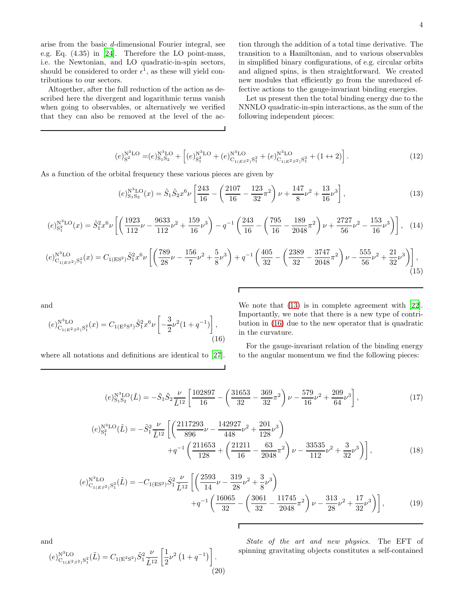arise from the basic d-dimensional Fourier integral, see e.g. Eq. (4.35) in [\[24\]](#page-5-3). Therefore the LO point-mass, i.e. the Newtonian, and LO quadratic-in-spin sectors, should be considered to order  $\epsilon^1$ , as these will yield contributions to our sectors.

Altogether, after the full reduction of the action as described here the divergent and logarithmic terms vanish when going to observables, or alternatively we verified that they can also be removed at the level of the action through the addition of a total time derivative. The transition to a Hamiltonian, and to various observables in simplified binary configurations, of e.g. circular orbits and aligned spins, is then straightforward. We created new modules that efficiently go from the unreduced effective actions to the gauge-invariant binding energies.

<span id="page-3-0"></span>Let us present then the total binding energy due to the NNNLO quadratic-in-spin interactions, as the sum of the following independent pieces:

$$
(e)_{S^2}^{N^3LO} = (e)_{S_1S_2}^{N^3LO} + \left[ (e)_{S_1^2}^{N^3LO} + (e)_{C_{1(ES^2)}S_1^2}^{N^3LO} + (e)_{C_{1(E^2S^2)}S_1^2}^{N^3LO} + (1 \leftrightarrow 2) \right].
$$
 (12)

As a function of the orbital frequency these various pieces are given by

$$
(e)_{S_1S_2}^{N^3LO}(x) = \tilde{S}_1 \tilde{S}_2 x^6 \nu \left[ \frac{243}{16} - \left( \frac{2107}{16} - \frac{123}{32} \pi^2 \right) \nu + \frac{147}{8} \nu^2 + \frac{13}{16} \nu^3 \right],
$$
\n(13)

$$
(e)_{\text{S}_1^2}^{\text{N}^3\text{LO}}(x) = \tilde{S}_1^2 x^6 \nu \left[ \left( \frac{1923}{112} \nu - \frac{9633}{112} \nu^2 + \frac{159}{16} \nu^3 \right) - q^{-1} \left( \frac{243}{16} - \left( \frac{795}{16} - \frac{189}{2048} \pi^2 \right) \nu + \frac{2727}{56} \nu^2 - \frac{153}{16} \nu^3 \right) \right], \quad (14)
$$

$$
(e)_{C_{1(ES^2)}S_1^2}^{N^3LO}(x) = C_{1(ES^2)}\tilde{S}_1^2x^6\nu\left[\left(\frac{789}{28}\nu - \frac{156}{7}\nu^2 + \frac{5}{8}\nu^3\right) + q^{-1}\left(\frac{405}{32} - \left(\frac{2389}{32} - \frac{3747}{2048}\pi^2\right)\nu - \frac{555}{56}\nu^2 + \frac{21}{32}\nu^3\right)\right],
$$
\n(15)

and

$$
(e)_{C_{1(E^2S^2)}S_1^2}^{N^3LO}(x) = C_{1(E^2S^2)}\tilde{S}_1^2 x^6 \nu \left[ -\frac{3}{2} \nu^2 (1+q^{-1}) \right],
$$
\n(16)

where all notations and definitions are identical to [\[27\]](#page-5-23).

We note that [\(13\)](#page-3-0) is in complete agreement with [\[22\]](#page-5-1). Importantly, we note that there is a new type of contribution in [\(16\)](#page-3-1) due to the new operator that is quadratic in the curvature.

<span id="page-3-1"></span>For the gauge-invariant relation of the binding energy to the angular momentum we find the following pieces:

$$
(e)_{\text{S}_1\text{S}_2}^{\text{N}^3\text{LO}}(\tilde{L}) = -\tilde{S}_1 \tilde{S}_2 \frac{\nu}{\tilde{L}^{12}} \left[ \frac{102897}{16} - \left( \frac{31653}{32} - \frac{369}{32} \pi^2 \right) \nu - \frac{579}{16} \nu^2 + \frac{209}{64} \nu^3 \right],\tag{17}
$$

$$
(e)_{S_1^2}^{N^3LO}(\tilde{L}) = -\tilde{S}_1^2 \frac{\nu}{\tilde{L}^{12}} \left[ \left( \frac{2117293}{896} \nu - \frac{142927}{448} \nu^2 + \frac{201}{128} \nu^3 \right) + q^{-1} \left( \frac{211653}{128} + \left( \frac{21211}{16} - \frac{63}{2048} \pi^2 \right) \nu - \frac{33535}{112} \nu^2 + \frac{3}{32} \nu^3 \right) \right],
$$
(18)

$$
(e)_{C_{1(ES^2)}S_1^2}^{N^3LO}(\tilde{L}) = -C_{1(ES^2)}\tilde{S}_1^2 \frac{\nu}{\tilde{L}^{12}} \left[ \left( \frac{2593}{14} \nu - \frac{319}{28} \nu^2 + \frac{3}{8} \nu^3 \right) + q^{-1} \left( \frac{16065}{32} - \left( \frac{3061}{32} - \frac{11745}{2048} \pi^2 \right) \nu - \frac{313}{28} \nu^2 + \frac{17}{32} \nu^3 \right) \right],
$$
(19)

and

$$
(e)_{C_{1(E^2S^2)}S_1^2}^{N^3LO}(\tilde{L}) = C_{1(E^2S^2)}\tilde{S}_1^2 \frac{\nu}{\tilde{L}^{12}} \left[ \frac{1}{2} \nu^2 \left( 1 + q^{-1} \right) \right].
$$
\n(20)

State of the art and new physics. The EFT of spinning gravitating objects constitutes a self-contained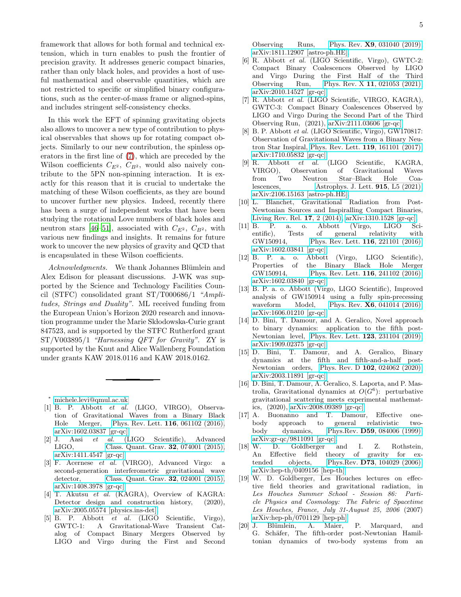framework that allows for both formal and technical extension, which in turn enables to push the frontier of precision gravity. It addresses generic compact binaries, rather than only black holes, and provides a host of useful mathematical and observable quantities, which are not restricted to specific or simplified binary configurations, such as the center-of-mass frame or aligned-spins, and includes stringent self-consistency checks.

In this work the EFT of spinning gravitating objects also allows to uncover a new type of contribution to physical observables that shows up for rotating compact objects. Similarly to our new contribution, the spinless operators in the first line of [\(7\)](#page-1-1), which are preceded by the Wilson coefficients  $C_{E^2}$ ,  $C_{B^2}$ , would also naively contribute to the 5PN non-spinning interaction. It is exactly for this reason that it is crucial to undertake the matching of these Wilson coefficients, as they are bound to uncover further new physics. Indeed, recently there has been a surge of independent works that have been studying the rotational Love numbers of black holes and neutron stars [\[46](#page-5-24)[–51\]](#page-5-25), associated with  $C_{E^2}$ ,  $C_{B^2}$ , with various new findings and insights. It remains for future work to uncover the new physics of gravity and QCD that is encapsulated in these Wilson coefficients.

Acknowledgments. We thank Johannes Blümlein and Alex Edison for pleasant discussions. J-WK was supported by the Science and Technology Facilities Council (STFC) consolidated grant ST/T000686/1 "Amplitudes, Strings and Duality". ML received funding from the European Union's Horizon 2020 research and innovation programme under the Marie Skłodowska-Curie grant 847523, and is supported by the STFC Rutherford grant ST/V003895/1 "Harnessing QFT for Gravity". ZY is supported by the Knut and Alice Wallenberg Foundation under grants KAW 2018.0116 and KAW 2018.0162.

<sup>∗</sup> [michele.levi@qmul.ac.uk](mailto:michele.levi@qmul.ac.uk)

- <span id="page-4-1"></span><span id="page-4-0"></span>[1] B. P. Abbott *et al.* (LIGO, VIRGO), Observation of Gravitational Waves from a Binary Black Hole Merger, [Phys. Rev. Lett.](https://doi.org/10.1103/PhysRevLett.116.061102) 116, 061102 (2016), [arXiv:1602.03837 \[gr-qc\].](https://arxiv.org/abs/1602.03837)
- <span id="page-4-2"></span>[2] J. Aasi *et al.* (LIGO Scientific), Advanced LIGO, [Class. Quant. Grav.](https://doi.org/10.1088/0264-9381/32/7/074001) 32, 074001 (2015), [arXiv:1411.4547 \[gr-qc\].](https://arxiv.org/abs/1411.4547)
- <span id="page-4-3"></span>[3] F. Acernese *et al.* (VIRGO), Advanced Virgo: a second-generation interferometric gravitational wave detector, [Class. Quant. Grav.](https://doi.org/10.1088/0264-9381/32/2/024001) 32, 024001 (2015), [arXiv:1408.3978 \[gr-qc\].](https://arxiv.org/abs/1408.3978)
- <span id="page-4-4"></span>[4] T. Akutsu *et al.* (KAGRA), Overview of KAGRA: Detector design and construction history, (2020), [arXiv:2005.05574 \[physics.ins-det\].](https://arxiv.org/abs/2005.05574)
- <span id="page-4-5"></span>[5] B. P. Abbott *et al.* (LIGO Scientific, Virgo), A Gravitational-Wave Transient Catalog of Compact Binary Mergers Observed by LIGO and Virgo during the First and Second

Observing Runs, Phys. Rev. X9[, 031040 \(2019\),](https://doi.org/10.1103/PhysRevX.9.031040) [arXiv:1811.12907 \[astro-ph.HE\].](https://arxiv.org/abs/1811.12907)

- [6] R. Abbott *et al.* (LIGO Scientific, Virgo), GWTC-2: Compact Binary Coalescences Observed by LIGO and Virgo During the First Half of the Third Observing Run, Phys. Rev. X 11[, 021053 \(2021\),](https://doi.org/10.1103/PhysRevX.11.021053) [arXiv:2010.14527 \[gr-qc\].](https://arxiv.org/abs/2010.14527)
- <span id="page-4-6"></span>[7] R. Abbott *et al.* (LIGO Scientific, VIRGO, KAGRA), GWTC-3: Compact Binary Coalescences Observed by LIGO and Virgo During the Second Part of the Third Observing Run, (2021), [arXiv:2111.03606 \[gr-qc\].](https://arxiv.org/abs/2111.03606)
- <span id="page-4-7"></span>[8] B. P. Abbott *et al.* (LIGO Scientific, Virgo), GW170817: Observation of Gravitational Waves from a Binary Neutron Star Inspiral, [Phys. Rev. Lett.](https://doi.org/10.1103/PhysRevLett.119.161101) 119, 161101 (2017), [arXiv:1710.05832 \[gr-qc\].](https://arxiv.org/abs/1710.05832)
- <span id="page-4-8"></span>[9] R. Abbott *et al.* (LIGO Scientific, KAGRA, VIRGO), Observation of Gravitational Waves from Two Neutron Star–Black Hole Coalescences, [Astrophys. J. Lett.](https://doi.org/10.3847/2041-8213/ac082e) 915, L5 (2021), [arXiv:2106.15163 \[astro-ph.HE\].](https://arxiv.org/abs/2106.15163)
- <span id="page-4-9"></span>[10] L. Blanchet, Gravitational Radiation from Post-Newtonian Sources and Inspiralling Compact Binaries, [Living Rev. Rel.](https://doi.org/10.12942/lrr-2014-2) 17, 2 (2014), [arXiv:1310.1528 \[gr-qc\].](https://arxiv.org/abs/1310.1528)
- <span id="page-4-10"></span>[11] B. P. a. o. Abbott (Virgo, LIGO Scientific), Tests of general relativity with GW150914, [Phys. Rev. Lett.](https://doi.org/10.1103/PhysRevLett.116.221101) 116, 221101 (2016), [arXiv:1602.03841 \[gr-qc\].](https://arxiv.org/abs/1602.03841)<br>[12] B. P. a. o. Abbott
- <span id="page-4-11"></span>Abbott (Virgo, LIGO Scientific), Properties of the Binary Black Hole Merger GW150914, Phys. Rev. Lett. 116, 241102 (2016), Phys. Rev. Lett. 116, 241102 (2016), [arXiv:1602.03840 \[gr-qc\].](https://arxiv.org/abs/1602.03840)
- <span id="page-4-12"></span>[13] B. P. a. o. Abbott (Virgo, LIGO Scientific), Improved analysis of GW150914 using a fully spin-precessing waveform Model, Phys. Rev. **X6**[, 041014 \(2016\),](https://doi.org/10.1103/PhysRevX.6.041014) [arXiv:1606.01210 \[gr-qc\].](https://arxiv.org/abs/1606.01210)
- <span id="page-4-13"></span>[14] D. Bini, T. Damour, and A. Geralico, Novel approach to binary dynamics: application to the fifth post-Newtonian level, [Phys. Rev. Lett.](https://doi.org/10.1103/PhysRevLett.123.231104) 123, 231104 (2019), [arXiv:1909.02375 \[gr-qc\].](https://arxiv.org/abs/1909.02375)
- <span id="page-4-19"></span>[15] D. Bini, T. Damour, and A. Geralico, Binary dynamics at the fifth and fifth-and-a-half post-Newtonian orders, Phys. Rev. D 102[, 024062 \(2020\),](https://doi.org/10.1103/PhysRevD.102.024062) [arXiv:2003.11891 \[gr-qc\].](https://arxiv.org/abs/2003.11891)
- <span id="page-4-14"></span>[16] D. Bini, T. Damour, A. Geralico, S. Laporta, and P. Mastrolia, Gravitational dynamics at  $O(G^6)$ : perturbative gravitational scattering meets experimental mathematics, (2020), [arXiv:2008.09389 \[gr-qc\].](https://arxiv.org/abs/2008.09389)
- <span id="page-4-15"></span>[17] A. Buonanno and T. Damour, Effective onebody approach to general relativistic twobody dynamics, Phys.Rev. D59[, 084006 \(1999\),](https://doi.org/10.1103/PhysRevD.59.084006) [arXiv:gr-qc/9811091 \[gr-qc\].](https://arxiv.org/abs/gr-qc/9811091)
- <span id="page-4-16"></span>[18] W. D. Goldberger and I. Z. Rothstein, An Effective field theory of gravity for extended objects, Phys.Rev. D73[, 104029 \(2006\),](https://doi.org/10.1103/PhysRevD.73.104029) [arXiv:hep-th/0409156 \[hep-th\].](https://arxiv.org/abs/hep-th/0409156)
- <span id="page-4-17"></span>[19] W. D. Goldberger, Les Houches lectures on effective field theories and gravitational radiation, in *Les Houches Summer School - Session 86: Particle Physics and Cosmology: The Fabric of Spacetime Les Houches, France, July 31-August 25, 2006* (2007) [arXiv:hep-ph/0701129 \[hep-ph\].](https://arxiv.org/abs/hep-ph/0701129)
- <span id="page-4-18"></span>[20] J. Blümlein, A. Maier, P. Marquard, and G. Schäfer, The fifth-order post-Newtonian Hamiltonian dynamics of two-body systems from an